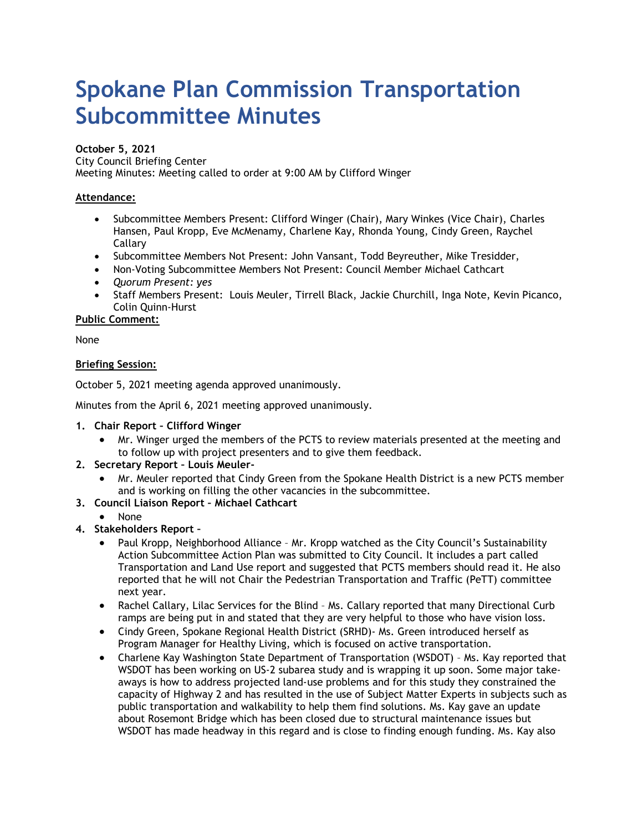# **Spokane Plan Commission Transportation Subcommittee Minutes**

**October 5, 2021**

City Council Briefing Center Meeting Minutes: Meeting called to order at 9:00 AM by Clifford Winger

## **Attendance:**

- Subcommittee Members Present: Clifford Winger (Chair), Mary Winkes (Vice Chair), Charles Hansen, Paul Kropp, Eve McMenamy, Charlene Kay, Rhonda Young, Cindy Green, Raychel Callary
- Subcommittee Members Not Present: John Vansant, Todd Beyreuther, Mike Tresidder,
- Non-Voting Subcommittee Members Not Present: Council Member Michael Cathcart
- *Quorum Present: yes*
- Staff Members Present: Louis Meuler, Tirrell Black, Jackie Churchill, Inga Note, Kevin Picanco, Colin Quinn-Hurst

**Public Comment:**

None

### **Briefing Session:**

October 5, 2021 meeting agenda approved unanimously.

Minutes from the April 6, 2021 meeting approved unanimously.

#### **1. Chair Report – Clifford Winger**

- Mr. Winger urged the members of the PCTS to review materials presented at the meeting and to follow up with project presenters and to give them feedback.
- **2. Secretary Report – Louis Meuler-**
	- Mr. Meuler reported that Cindy Green from the Spokane Health District is a new PCTS member and is working on filling the other vacancies in the subcommittee.
- **3. Council Liaison Report – Michael Cathcart**
	- None
- **4. Stakeholders Report –**
	- Paul Kropp, Neighborhood Alliance Mr. Kropp watched as the City Council's Sustainability Action Subcommittee Action Plan was submitted to City Council. It includes a part called Transportation and Land Use report and suggested that PCTS members should read it. He also reported that he will not Chair the Pedestrian Transportation and Traffic (PeTT) committee next year.
	- Rachel Callary, Lilac Services for the Blind Ms. Callary reported that many Directional Curb ramps are being put in and stated that they are very helpful to those who have vision loss.
	- Cindy Green, Spokane Regional Health District (SRHD)- Ms. Green introduced herself as Program Manager for Healthy Living, which is focused on active transportation.
	- Charlene Kay Washington State Department of Transportation (WSDOT) Ms. Kay reported that WSDOT has been working on US-2 subarea study and is wrapping it up soon. Some major takeaways is how to address projected land-use problems and for this study they constrained the capacity of Highway 2 and has resulted in the use of Subject Matter Experts in subjects such as public transportation and walkability to help them find solutions. Ms. Kay gave an update about Rosemont Bridge which has been closed due to structural maintenance issues but WSDOT has made headway in this regard and is close to finding enough funding. Ms. Kay also